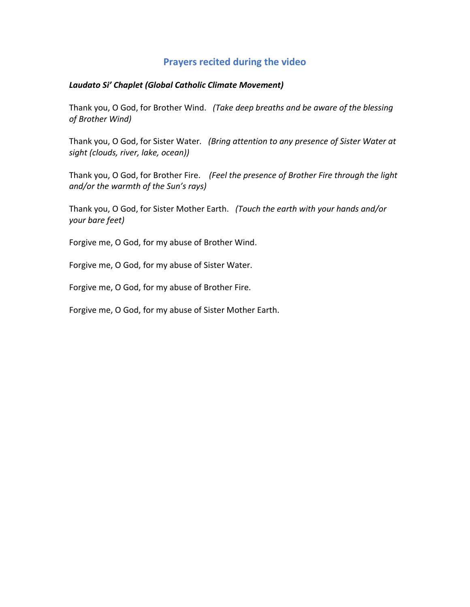## **Prayers recited during the video**

## *Laudato Si' Chaplet (Global Catholic Climate Movement)*

Thank you, O God, for Brother Wind. *(Take deep breaths and be aware of the blessing of Brother Wind)*

Thank you, O God, for Sister Water*. (Bring attention to any presence of Sister Water at sight (clouds, river, lake, ocean))*

Thank you, O God, for Brother Fire. *(Feel the presence of Brother Fire through the light and/or the warmth of the Sun's rays)*

Thank you, O God, for Sister Mother Earth. *(Touch the earth with your hands and/or your bare feet)*

Forgive me, O God, for my abuse of Brother Wind.

Forgive me, O God, for my abuse of Sister Water.

Forgive me, O God, for my abuse of Brother Fire.

Forgive me, O God, for my abuse of Sister Mother Earth.